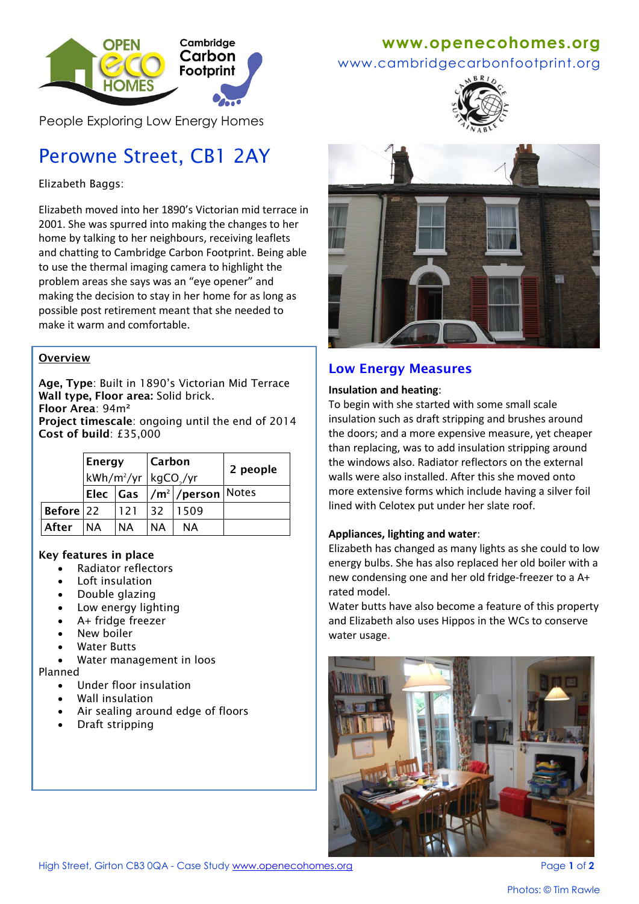

People Exploring Low Energy Homes

# Perowne Street, CB1 2AY

Elizabeth Baggs:

Elizabeth moved into her 1890's Victorian mid terrace in 2001. She was spurred into making the changes to her home by talking to her neighbours, receiving leaflets and chatting to Cambridge Carbon Footprint. Being able to use the thermal imaging camera to highlight the problem areas she says was an "eye opener" and making the decision to stay in her home for as long as possible post retirement meant that she needed to make it warm and comfortable.

#### **Overview**

**Age, Type**: Built in 1890's Victorian Mid Terrace **Wall type, Floor area:** Solid brick. **Floor Area**: 94m²

**Project timescale**: ongoing until the end of 2014 **Cost of build**: £35,000

|              | <b>Energy</b><br>kWh/m <sup>2</sup> /yr   kgCO <sub>2</sub> /yr |           | Carbon    |                        | 2 people |
|--------------|-----------------------------------------------------------------|-----------|-----------|------------------------|----------|
|              | Elec   Gas                                                      |           |           | $1/m^2$ / person Notes |          |
| Before $ 22$ |                                                                 | 121       | 32        | 1509                   |          |
| After        | ΝA                                                              | <b>NA</b> | <b>NA</b> | ΝA                     |          |

### **Key features in place**

- Radiator reflectors
- Loft insulation
- Double glazing
- Low energy lighting
- A+ fridge freezer
- New boiler
- Water Butts
- Water management in loos

#### Planned

- Under floor insulation
- Wall insulation
- Air sealing around edge of floors
- Draft stripping

## **www[.openecohomes.org](http://www.openecohomes.org/)**

## www.cambridgecarbonfootprint.org





## **Low Energy Measures**

#### **Insulation and heating**:

To begin with she started with some small scale insulation such as draft stripping and brushes around the doors; and a more expensive measure, yet cheaper than replacing, was to add insulation stripping around the windows also. Radiator reflectors on the external walls were also installed. After this she moved onto more extensive forms which include having a silver foil lined with Celotex put under her slate roof.

#### **Appliances, lighting and water**:

Elizabeth has changed as many lights as she could to low energy bulbs. She has also replaced her old boiler with a new condensing one and her old fridge-freezer to a A+ rated model.

Water butts have also become a feature of this property and Elizabeth also uses Hippos in the WCs to conserve water usage.